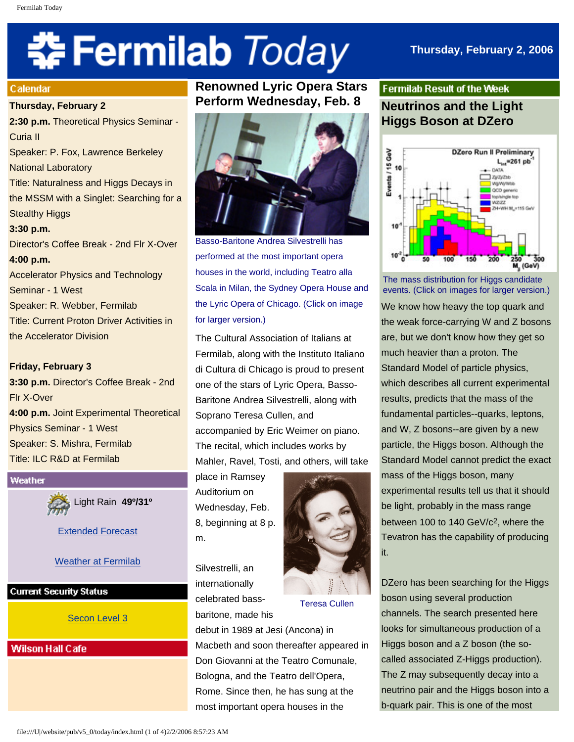# **‡⊱ Fermilab** *Today*

# **Thursday, February 2, 2006**

#### **Calendar**

**Thursday, February 2**

**2:30 p.m.** Theoretical Physics Seminar - Curia II Speaker: P. Fox, Lawrence Berkeley National Laboratory Title: Naturalness and Higgs Decays in the MSSM with a Singlet: Searching for a Stealthy Higgs **3:30 p.m.** Director's Coffee Break - 2nd Flr X-Over **4:00 p.m.** Accelerator Physics and Technology Seminar - 1 West Speaker: R. Webber, Fermilab Title: Current Proton Driver Activities in the Accelerator Division

# **Friday, February 3**

**3:30 p.m.** Director's Coffee Break - 2nd Flr X-Over **4:00 p.m.** Joint Experimental Theoretical Physics Seminar - 1 West Speaker: S. Mishra, Fermilab Title: ILC R&D at Fermilab

#### Weather

Light Rain **49º/31º**

[Extended Forecast](http://www.srh.noaa.gov/data/forecasts/ILZ012.php?warncounty=ILC089&city=Batavia)

# [Weather at Fermilab](http://www-esh.fnal.gov/pls/default/weather.html)

### **Current Security Status**

[Secon Level 3](http://www.fnal.gov/pub/about/public_affairs/currentstatus.html)

# **Wilson Hall Cafe**

# **Renowned Lyric Opera Stars Perform Wednesday, Feb. 8**



Basso-Baritone Andrea Silvestrelli has performed at the most important opera houses in the world, including Teatro alla Scala in Milan, the Sydney Opera House and the Lyric Opera of Chicago. (Click on image for larger version.)

The Cultural Association of Italians at Fermilab, along with the Instituto Italiano di Cultura di Chicago is proud to present one of the stars of Lyric Opera, Basso-Baritone Andrea Silvestrelli, along with Soprano Teresa Cullen, and accompanied by Eric Weimer on piano. The recital, which includes works by Mahler, Ravel, Tosti, and others, will take

place in Ramsey Auditorium on Wednesday, Feb. 8, beginning at 8 p. m.

Silvestrelli, an internationally celebrated bassbaritone, made his



Teresa Cullen

debut in 1989 at Jesi (Ancona) in Macbeth and soon thereafter appeared in Don Giovanni at the Teatro Comunale, Bologna, and the Teatro dell'Opera, Rome. Since then, he has sung at the most important opera houses in the

# **Fermilab Result of the Week Neutrinos and the Light Higgs Boson at DZero**



The mass distribution for Higgs candidate events. (Click on images for larger version.)

We know how heavy the top quark and the weak force-carrying W and Z bosons are, but we don't know how they get so much heavier than a proton. The Standard Model of particle physics, which describes all current experimental results, predicts that the mass of the fundamental particles--quarks, leptons, and W, Z bosons--are given by a new particle, the Higgs boson. Although the Standard Model cannot predict the exact mass of the Higgs boson, many experimental results tell us that it should be light, probably in the mass range between 100 to 140 GeV/c<sup>2</sup>, where the Tevatron has the capability of producing it.

DZero has been searching for the Higgs boson using several production channels. The search presented here looks for simultaneous production of a Higgs boson and a Z boson (the socalled associated Z-Higgs production). The Z may subsequently decay into a neutrino pair and the Higgs boson into a b-quark pair. This is one of the most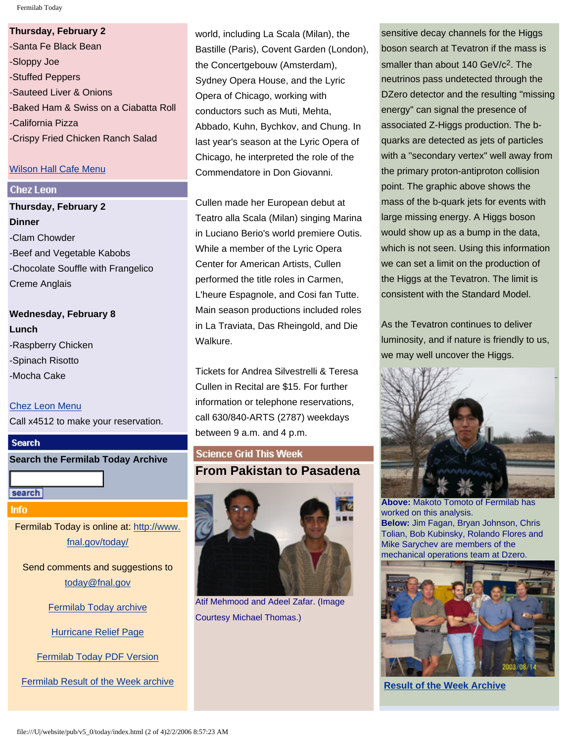Fermilab Today

#### **Thursday, February 2**

-Santa Fe Black Bean -Sloppy Joe -Stuffed Peppers -Sauteed Liver & Onions -Baked Ham & Swiss on a Ciabatta Roll -California Pizza -Crispy Fried Chicken Ranch Salad

# [Wilson Hall Cafe Menu](http://lss.fnal.gov/cafe/)

# **Chez Leon**

**Thursday, February 2 Dinner** -Clam Chowder -Beef and Vegetable Kabobs -Chocolate Souffle with Frangelico Creme Anglais

**Wednesday, February 8 Lunch** -Raspberry Chicken -Spinach Risotto -Mocha Cake

[Chez Leon Menu](http://lss.fnal.gov/chezleon/index.html) Call x4512 to make your reservation.

# **Search**

**Search the Fermilab Today Archive**

search

Info

Fermilab Today is online at: [http://www.](http://www.fnal.gov/today/) [fnal.gov/today/](http://www.fnal.gov/today/)

Send comments and suggestions to [today@fnal.gov](mailto:today@fnal.gov)

[Fermilab Today archive](http://www.fnal.gov/pub/today/archive.html)

[Hurricane Relief Page](http://www.fnal.gov/pub/today/katrina_relief.html)

[Fermilab Today PDF Version](http://www.fnal.gov/pub/today/archive.html)

[Fermilab Result of the Week archive](http://www.fnal.gov/pub/today/resultoftheweek/index.html)

world, including La Scala (Milan), the Bastille (Paris), Covent Garden (London), the Concertgebouw (Amsterdam), Sydney Opera House, and the Lyric Opera of Chicago, working with conductors such as Muti, Mehta, Abbado, Kuhn, Bychkov, and Chung. In last year's season at the Lyric Opera of Chicago, he interpreted the role of the Commendatore in Don Giovanni.

Cullen made her European debut at Teatro alla Scala (Milan) singing Marina in Luciano Berio's world premiere Outis. While a member of the Lyric Opera Center for American Artists, Cullen performed the title roles in Carmen, L'heure Espagnole, and Cosi fan Tutte. Main season productions included roles in La Traviata, Das Rheingold, and Die Walkure.

Tickets for Andrea Silvestrelli & Teresa Cullen in Recital are \$15. For further information or telephone reservations, call 630/840-ARTS (2787) weekdays between 9 a.m. and 4 p.m.

# **Science Grid This Week From Pakistan to Pasadena**



Atif Mehmood and Adeel Zafar. (Image Courtesy Michael Thomas.)

sensitive decay channels for the Higgs boson search at Tevatron if the mass is smaller than about 140 GeV/c<sup>2</sup>. The neutrinos pass undetected through the DZero detector and the resulting "missing energy" can signal the presence of associated Z-Higgs production. The bquarks are detected as jets of particles with a "secondary vertex" well away from the primary proton-antiproton collision point. The graphic above shows the mass of the b-quark jets for events with large missing energy. A Higgs boson would show up as a bump in the data, which is not seen. Using this information we can set a limit on the production of the Higgs at the Tevatron. The limit is consistent with the Standard Model.

As the Tevatron continues to deliver luminosity, and if nature is friendly to us, we may well uncover the Higgs.



**Above:** Makoto Tomoto of Fermilab has worked on this analysis. **Below:** Jim Fagan, Bryan Johnson, Chris Tolian, Bob Kubinsky, Rolando Flores and Mike Sarychev are members of the mechanical operations team at Dzero.



**[Result of the Week Archive](http://www.fnal.gov/pub/today/resultoftheweek/index.html)**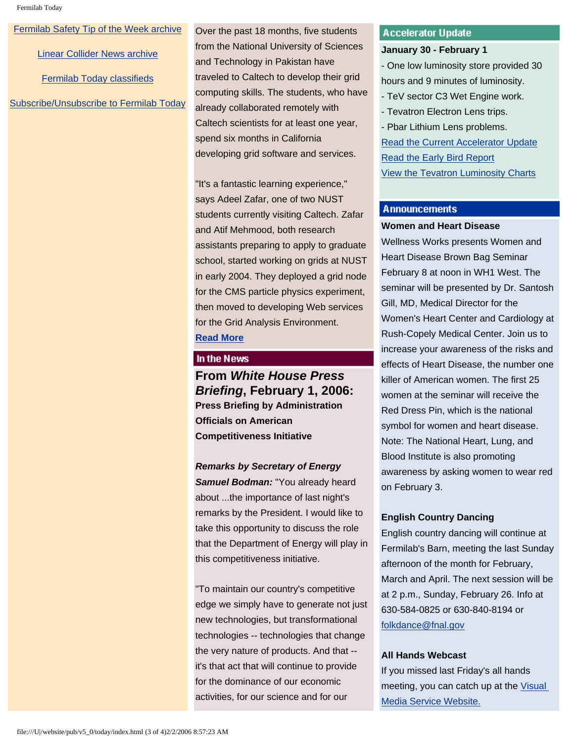[Fermilab Safety Tip of the Week archive](http://www.fnal.gov/pub/today/safety/index.html)

[Linear Collider News archive](http://www.fnal.gov/pub/today/linearcollider/index.html)

[Fermilab Today classifieds](http://www.fnal.gov/pub/today/classifieds.html)

[Subscribe/Unsubscribe to Fermilab Today](http://www.fnal.gov/pub/today/subscription.html)

Over the past 18 months, five students from the National University of Sciences and Technology in Pakistan have traveled to Caltech to develop their grid computing skills. The students, who have already collaborated remotely with Caltech scientists for at least one year, spend six months in California developing grid software and services.

"It's a fantastic learning experience," says Adeel Zafar, one of two NUST students currently visiting Caltech. Zafar and Atif Mehmood, both research assistants preparing to apply to graduate school, started working on grids at NUST in early 2004. They deployed a grid node for the CMS particle physics experiment, then moved to developing Web services for the Grid Analysis Environment. **[Read More](http://www.interactions.org/sgtw/)**

#### In the News

**From** *White House Press Briefing***, February 1, 2006: Press Briefing by Administration Officials on American Competitiveness Initiative** 

*Remarks by Secretary of Energy Samuel Bodman:* "You already heard about ...the importance of last night's remarks by the President. I would like to take this opportunity to discuss the role that the Department of Energy will play in this competitiveness initiative.

"To maintain our country's competitive edge we simply have to generate not just new technologies, but transformational technologies -- technologies that change the very nature of products. And that - it's that act that will continue to provide for the dominance of our economic activities, for our science and for our

### **Accelerator Update**

#### **January 30 - February 1**

- One low luminosity store provided 30 hours and 9 minutes of luminosity. - TeV sector C3 Wet Engine work. - Tevatron Electron Lens trips. - Pbar Lithium Lens problems. [Read the Current Accelerator Update](http://www.fnal.gov/pub/news06/update.html) [Read the Early Bird Report](http://www-bd.fnal.gov/earlybird/ebird.html) [View the Tevatron Luminosity Charts](http://www.fnal.gov/pub/now/tevlum.html)

# **Announcements**

#### **Women and Heart Disease**

Wellness Works presents Women and Heart Disease Brown Bag Seminar February 8 at noon in WH1 West. The seminar will be presented by Dr. Santosh Gill, MD, Medical Director for the Women's Heart Center and Cardiology at Rush-Copely Medical Center. Join us to increase your awareness of the risks and effects of Heart Disease, the number one killer of American women. The first 25 women at the seminar will receive the Red Dress Pin, which is the national symbol for women and heart disease. Note: The National Heart, Lung, and Blood Institute is also promoting awareness by asking women to wear red on February 3.

## **English Country Dancing**

English country dancing will continue at Fermilab's Barn, meeting the last Sunday afternoon of the month for February, March and April. The next session will be at 2 p.m., Sunday, February 26. Info at 630-584-0825 or 630-840-8194 or [folkdance@fnal.gov](mailto:folkdance@fnal.gov)

#### **All Hands Webcast**

If you missed last Friday's all hands meeting, you can catch up at the [Visual](http://vmsstreamer1.fnal.gov/VMS_Site_03/Lectures/AllHands/060127AllHands/index.htm)  [Media Service Website.](http://vmsstreamer1.fnal.gov/VMS_Site_03/Lectures/AllHands/060127AllHands/index.htm)